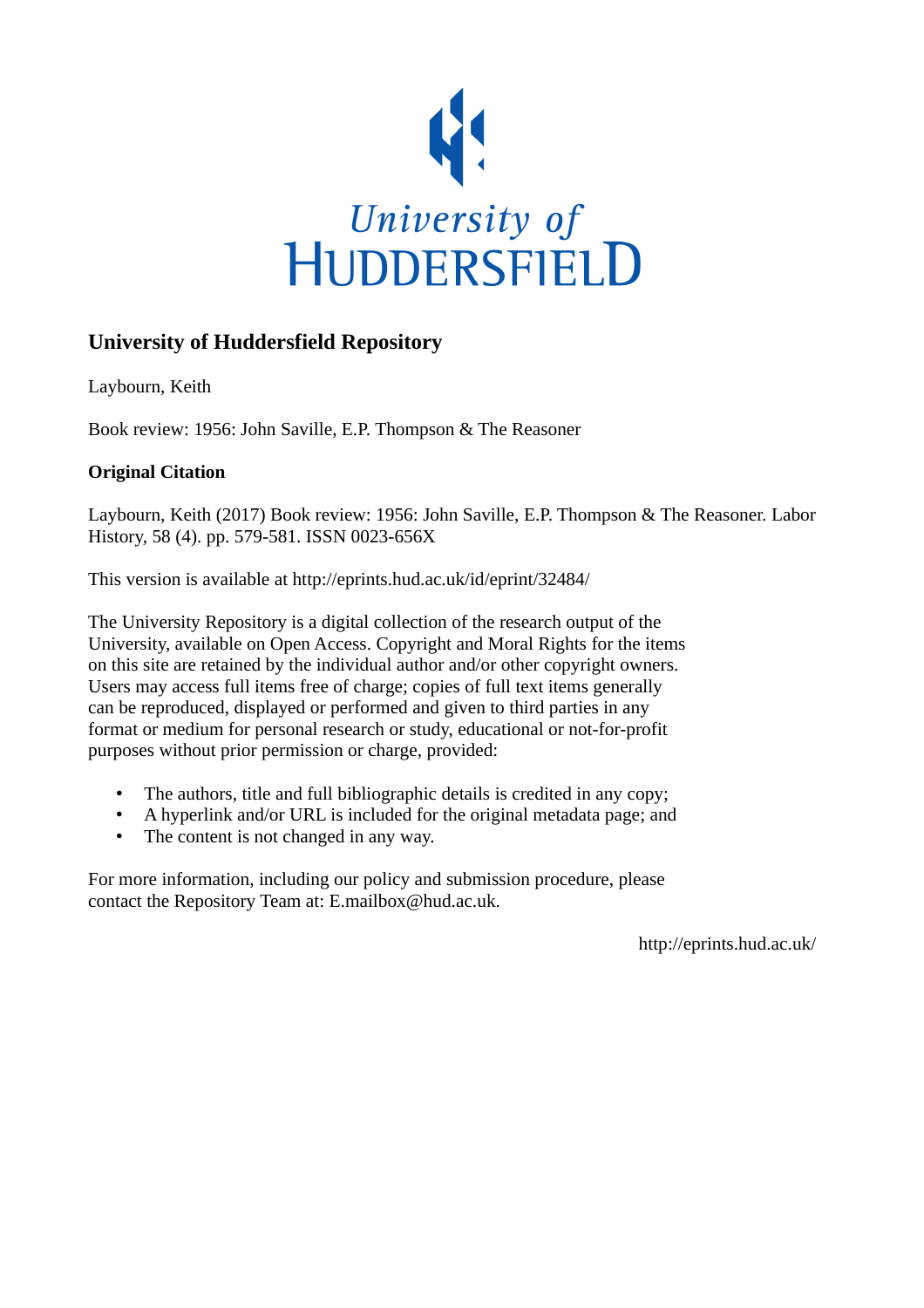

# **University of Huddersfield Repository**

Laybourn, Keith

Book review: 1956: John Saville, E.P. Thompson & The Reasoner

## **Original Citation**

Laybourn, Keith (2017) Book review: 1956: John Saville, E.P. Thompson & The Reasoner. Labor History, 58 (4). pp. 579-581. ISSN 0023-656X

This version is available at http://eprints.hud.ac.uk/id/eprint/32484/

The University Repository is a digital collection of the research output of the University, available on Open Access. Copyright and Moral Rights for the items on this site are retained by the individual author and/or other copyright owners. Users may access full items free of charge; copies of full text items generally can be reproduced, displayed or performed and given to third parties in any format or medium for personal research or study, educational or not-for-profit purposes without prior permission or charge, provided:

- The authors, title and full bibliographic details is credited in any copy;
- A hyperlink and/or URL is included for the original metadata page; and
- The content is not changed in any way.

For more information, including our policy and submission procedure, please contact the Repository Team at: E.mailbox@hud.ac.uk.

http://eprints.hud.ac.uk/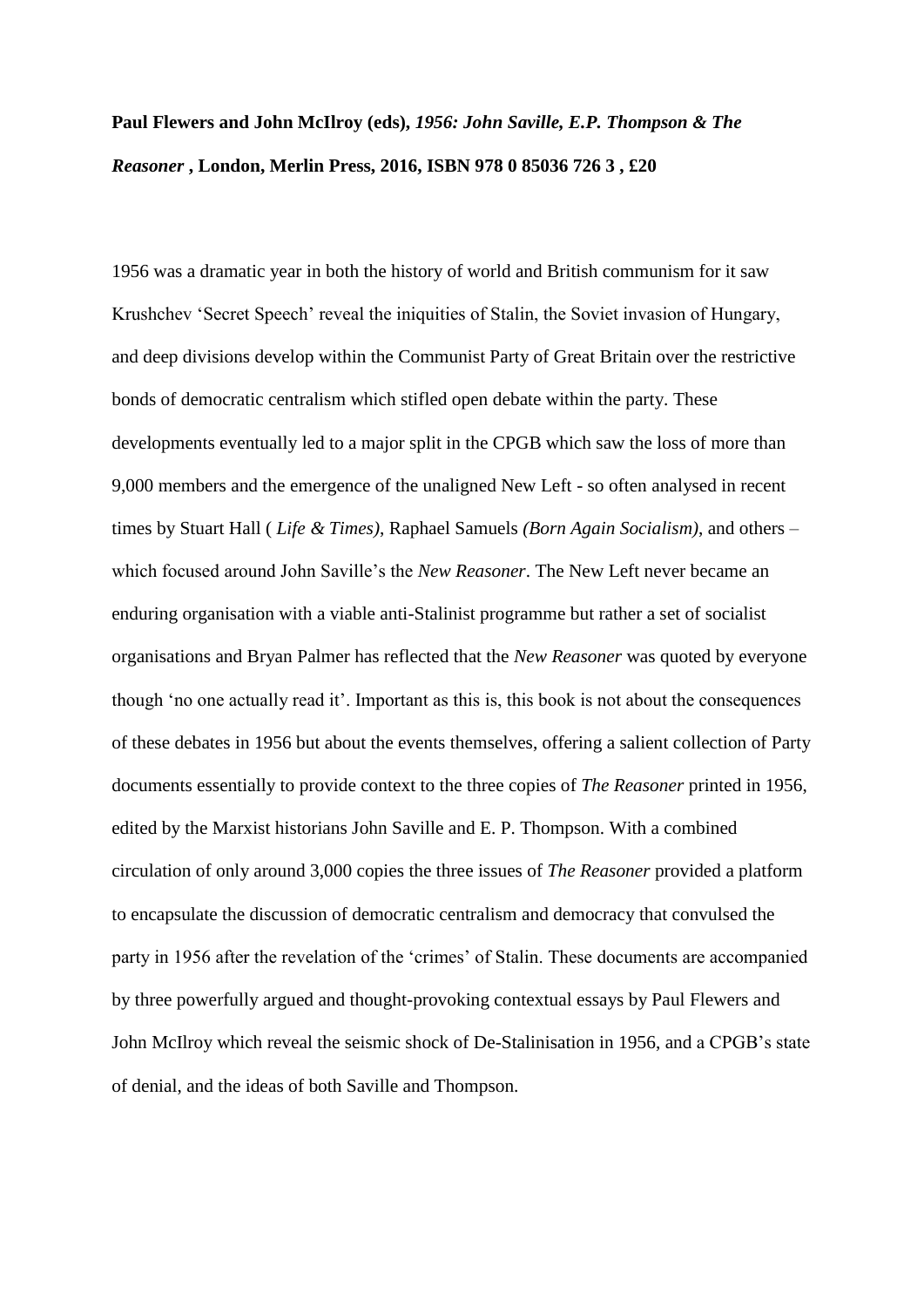# **Paul Flewers and John McIlroy (eds),** *1956: John Saville, E.P. Thompson & The Reasoner* **, London, Merlin Press, 2016, ISBN 978 0 85036 726 3 , £20**

1956 was a dramatic year in both the history of world and British communism for it saw Krushchev 'Secret Speech' reveal the iniquities of Stalin, the Soviet invasion of Hungary, and deep divisions develop within the Communist Party of Great Britain over the restrictive bonds of democratic centralism which stifled open debate within the party. These developments eventually led to a major split in the CPGB which saw the loss of more than 9,000 members and the emergence of the unaligned New Left - so often analysed in recent times by Stuart Hall ( *Life & Times)*, Raphael Samuels *(Born Again Socialism)*, and others – which focused around John Saville's the *New Reasoner*. The New Left never became an enduring organisation with a viable anti-Stalinist programme but rather a set of socialist organisations and Bryan Palmer has reflected that the *New Reasoner* was quoted by everyone though 'no one actually read it'. Important as this is, this book is not about the consequences of these debates in 1956 but about the events themselves, offering a salient collection of Party documents essentially to provide context to the three copies of *The Reasoner* printed in 1956, edited by the Marxist historians John Saville and E. P. Thompson. With a combined circulation of only around 3,000 copies the three issues of *The Reasoner* provided a platform to encapsulate the discussion of democratic centralism and democracy that convulsed the party in 1956 after the revelation of the 'crimes' of Stalin. These documents are accompanied by three powerfully argued and thought-provoking contextual essays by Paul Flewers and John McIlroy which reveal the seismic shock of De-Stalinisation in 1956, and a CPGB's state of denial, and the ideas of both Saville and Thompson.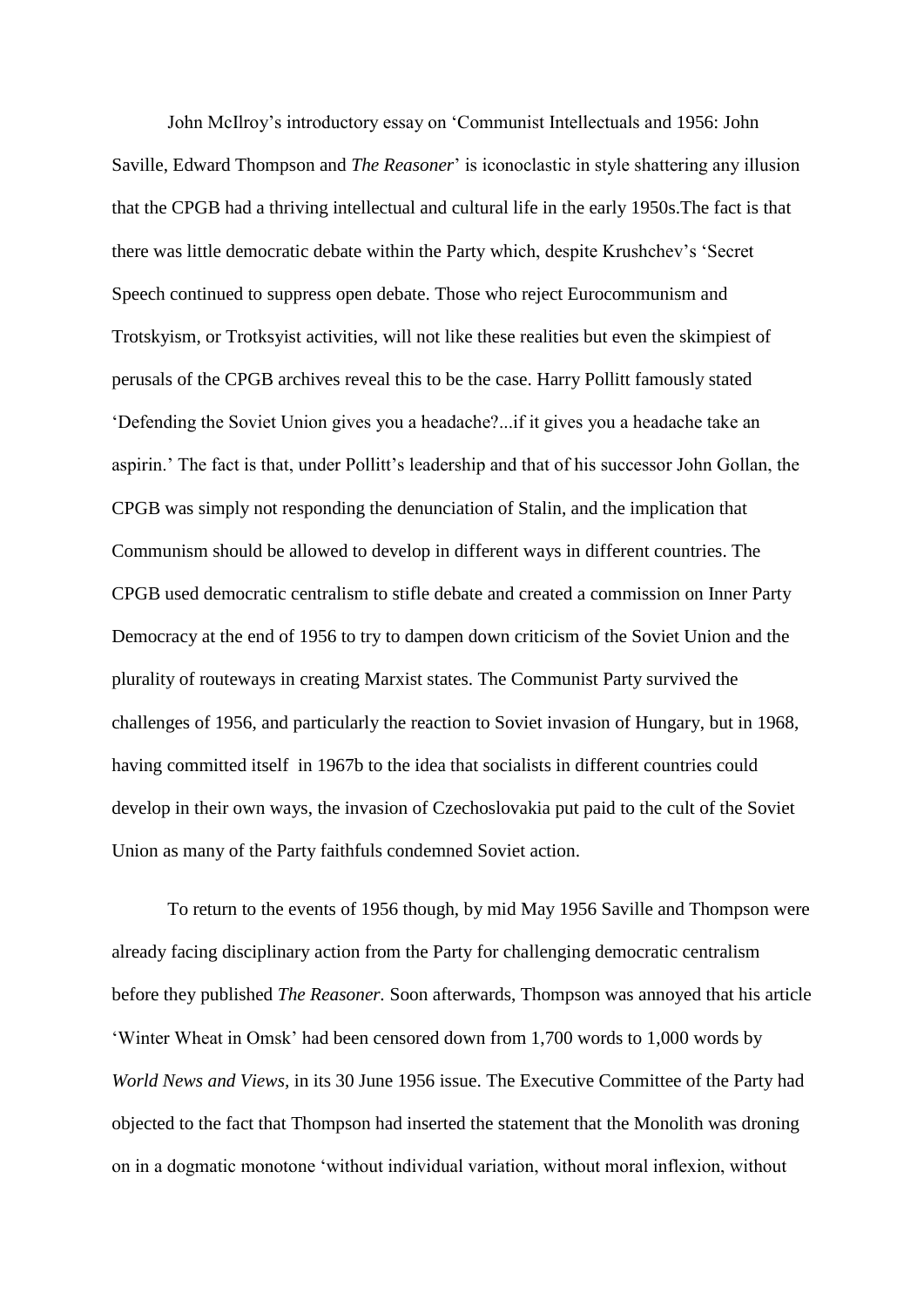John McIlroy's introductory essay on 'Communist Intellectuals and 1956: John Saville, Edward Thompson and *The Reasoner*' is iconoclastic in style shattering any illusion that the CPGB had a thriving intellectual and cultural life in the early 1950s.The fact is that there was little democratic debate within the Party which, despite Krushchev's 'Secret Speech continued to suppress open debate. Those who reject Eurocommunism and Trotskyism, or Trotksyist activities, will not like these realities but even the skimpiest of perusals of the CPGB archives reveal this to be the case. Harry Pollitt famously stated 'Defending the Soviet Union gives you a headache?...if it gives you a headache take an aspirin.' The fact is that, under Pollitt's leadership and that of his successor John Gollan, the CPGB was simply not responding the denunciation of Stalin, and the implication that Communism should be allowed to develop in different ways in different countries. The CPGB used democratic centralism to stifle debate and created a commission on Inner Party Democracy at the end of 1956 to try to dampen down criticism of the Soviet Union and the plurality of routeways in creating Marxist states. The Communist Party survived the challenges of 1956, and particularly the reaction to Soviet invasion of Hungary, but in 1968, having committed itself in 1967b to the idea that socialists in different countries could develop in their own ways, the invasion of Czechoslovakia put paid to the cult of the Soviet Union as many of the Party faithfuls condemned Soviet action.

To return to the events of 1956 though, by mid May 1956 Saville and Thompson were already facing disciplinary action from the Party for challenging democratic centralism before they published *The Reasoner.* Soon afterwards, Thompson was annoyed that his article 'Winter Wheat in Omsk' had been censored down from 1,700 words to 1,000 words by *World News and Views,* in its 30 June 1956 issue. The Executive Committee of the Party had objected to the fact that Thompson had inserted the statement that the Monolith was droning on in a dogmatic monotone 'without individual variation, without moral inflexion, without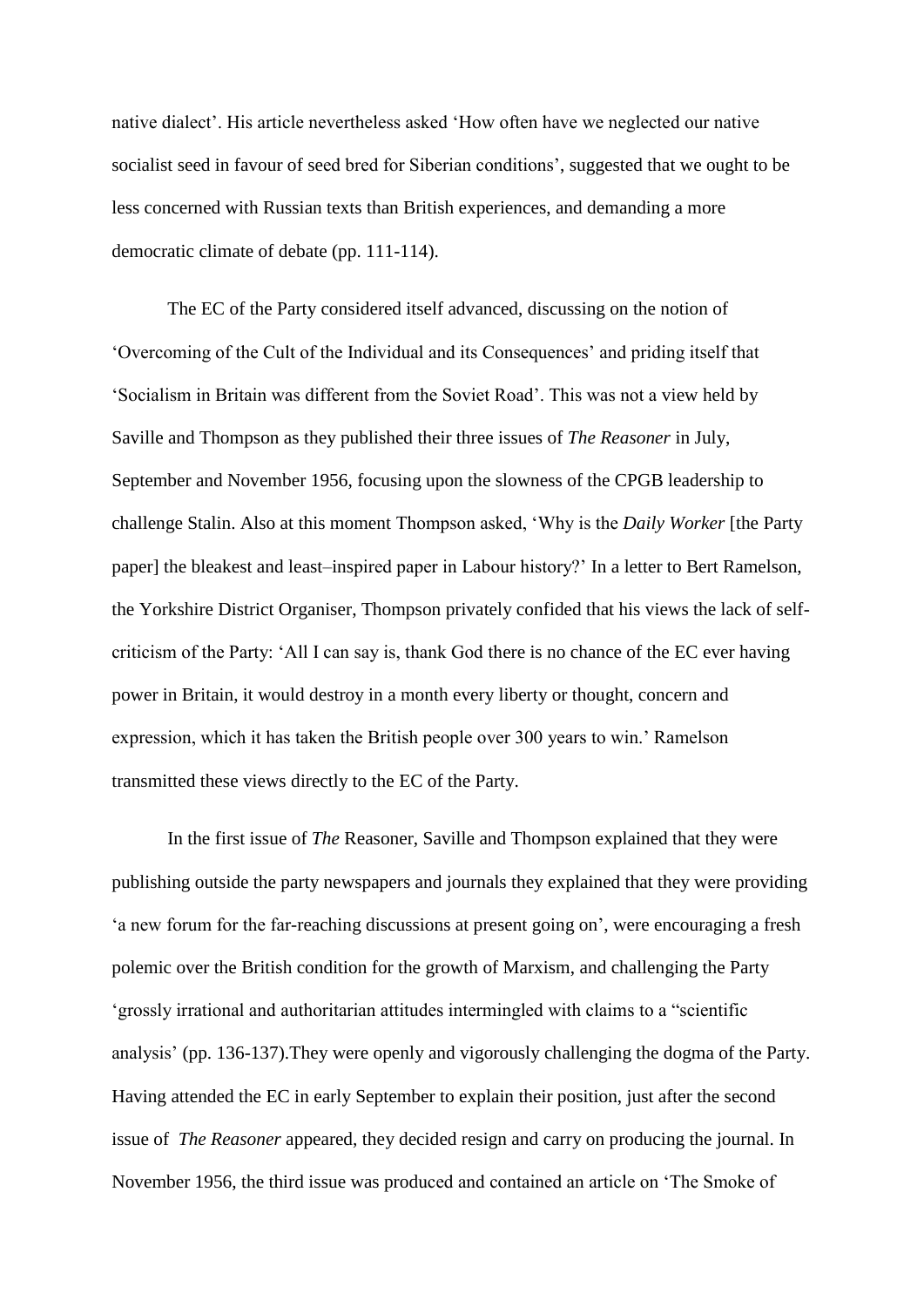native dialect'. His article nevertheless asked 'How often have we neglected our native socialist seed in favour of seed bred for Siberian conditions', suggested that we ought to be less concerned with Russian texts than British experiences, and demanding a more democratic climate of debate (pp. 111-114).

The EC of the Party considered itself advanced, discussing on the notion of 'Overcoming of the Cult of the Individual and its Consequences' and priding itself that 'Socialism in Britain was different from the Soviet Road'. This was not a view held by Saville and Thompson as they published their three issues of *The Reasoner* in July, September and November 1956, focusing upon the slowness of the CPGB leadership to challenge Stalin. Also at this moment Thompson asked, 'Why is the *Daily Worker* [the Party paper] the bleakest and least–inspired paper in Labour history?' In a letter to Bert Ramelson, the Yorkshire District Organiser, Thompson privately confided that his views the lack of selfcriticism of the Party: 'All I can say is, thank God there is no chance of the EC ever having power in Britain, it would destroy in a month every liberty or thought, concern and expression, which it has taken the British people over 300 years to win.' Ramelson transmitted these views directly to the EC of the Party.

In the first issue of *The* Reasoner, Saville and Thompson explained that they were publishing outside the party newspapers and journals they explained that they were providing 'a new forum for the far-reaching discussions at present going on', were encouraging a fresh polemic over the British condition for the growth of Marxism, and challenging the Party 'grossly irrational and authoritarian attitudes intermingled with claims to a "scientific analysis' (pp. 136-137).They were openly and vigorously challenging the dogma of the Party. Having attended the EC in early September to explain their position, just after the second issue of *The Reasoner* appeared, they decided resign and carry on producing the journal. In November 1956, the third issue was produced and contained an article on 'The Smoke of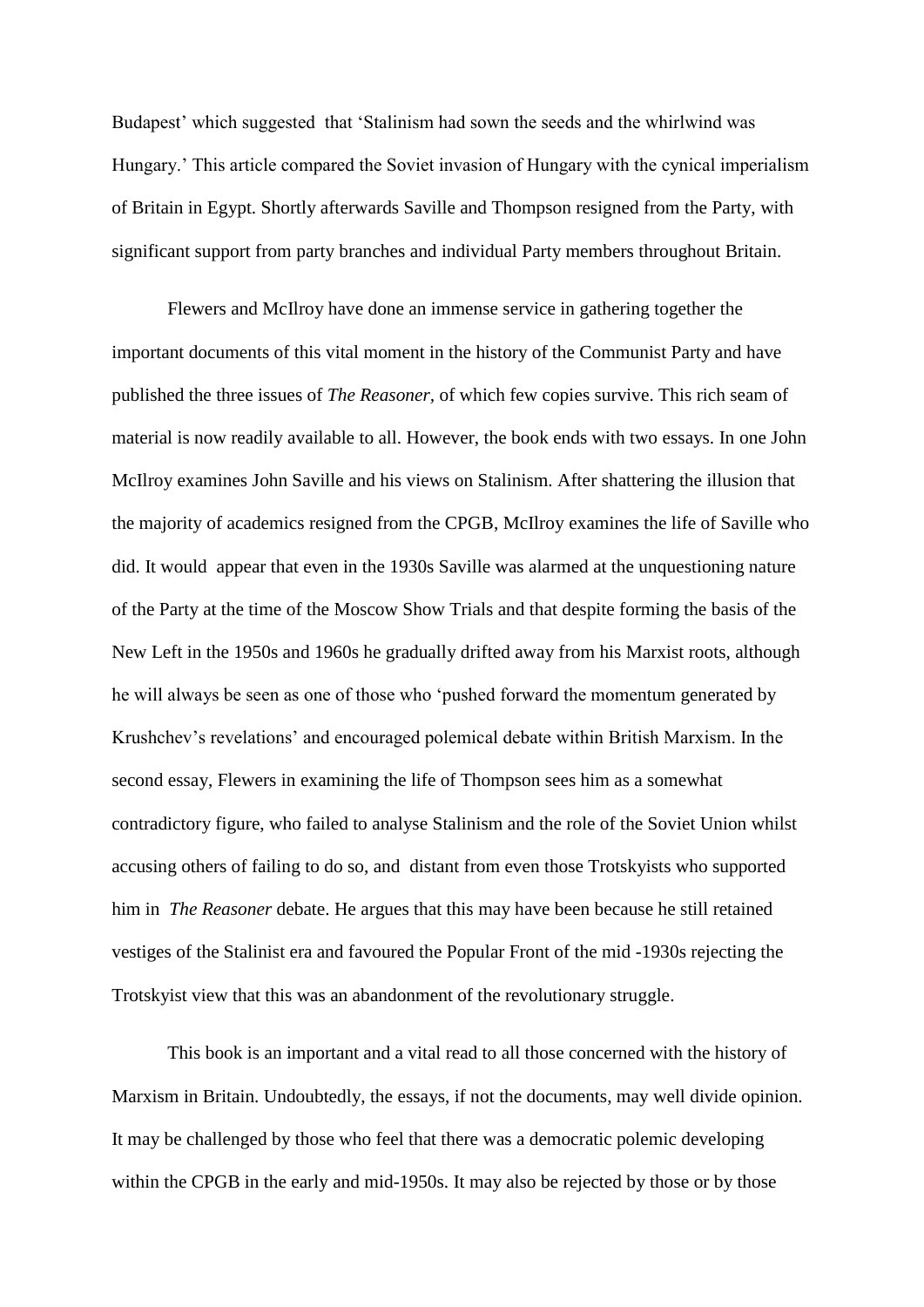Budapest' which suggested that 'Stalinism had sown the seeds and the whirlwind was Hungary.' This article compared the Soviet invasion of Hungary with the cynical imperialism of Britain in Egypt. Shortly afterwards Saville and Thompson resigned from the Party, with significant support from party branches and individual Party members throughout Britain.

Flewers and McIlroy have done an immense service in gathering together the important documents of this vital moment in the history of the Communist Party and have published the three issues of *The Reasoner,* of which few copies survive. This rich seam of material is now readily available to all. However, the book ends with two essays. In one John McIlroy examines John Saville and his views on Stalinism. After shattering the illusion that the majority of academics resigned from the CPGB, McIlroy examines the life of Saville who did. It would appear that even in the 1930s Saville was alarmed at the unquestioning nature of the Party at the time of the Moscow Show Trials and that despite forming the basis of the New Left in the 1950s and 1960s he gradually drifted away from his Marxist roots, although he will always be seen as one of those who 'pushed forward the momentum generated by Krushchev's revelations' and encouraged polemical debate within British Marxism. In the second essay, Flewers in examining the life of Thompson sees him as a somewhat contradictory figure, who failed to analyse Stalinism and the role of the Soviet Union whilst accusing others of failing to do so, and distant from even those Trotskyists who supported him in *The Reasoner* debate. He argues that this may have been because he still retained vestiges of the Stalinist era and favoured the Popular Front of the mid -1930s rejecting the Trotskyist view that this was an abandonment of the revolutionary struggle.

This book is an important and a vital read to all those concerned with the history of Marxism in Britain. Undoubtedly, the essays, if not the documents, may well divide opinion. It may be challenged by those who feel that there was a democratic polemic developing within the CPGB in the early and mid-1950s. It may also be rejected by those or by those